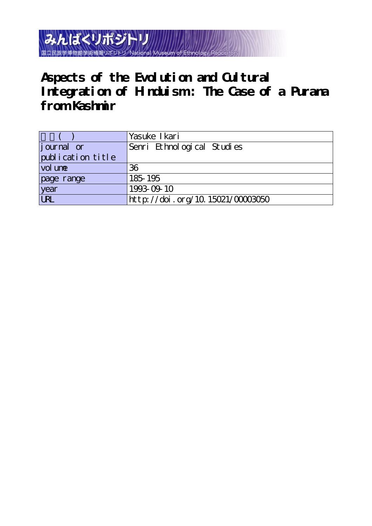みんぱくリポジトリ 国立民族学博物館学術情報リポジトリ National Museum of

**Aspects of the Evolution and Cultural Integration of Hinduism : The Case of a Purana from Kashmir**

|                   | Yasuke I kari                    |
|-------------------|----------------------------------|
| journal or        | Senri Ethnological Studies       |
| publication title |                                  |
| vol une           | 36                               |
| page range        | 185-195                          |
| year<br>URL       | 1993-09-10                       |
|                   | http://doi.org/10.15021/00003050 |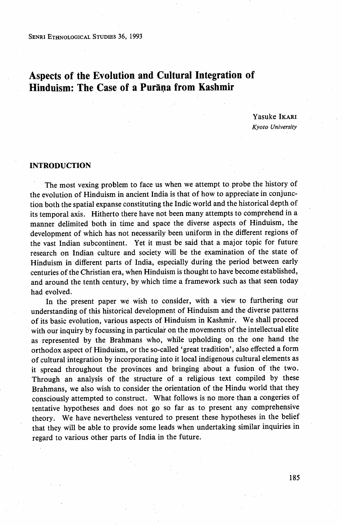SENRI ETHNoLoGIcAL STuDIEs 36, 1993

# Aspects of the Evolution and Cultural Integration of Hinduism: The Case of a Purana from Kashmir

Yasuke IKARi Kyoto University

#### INTRODUCTION

The most vexing problem to face us when we attempt to probe the history of the evolution of Hinduism in ancient India is that of how to appreciate in conjunc tion both the spatial expanse constituting the Indic world and the historical depth of its temporal axis. Hitherto there have not been many attempts to comprehend in a manner delimited both in time and space the diverse aspects of Hinduism, the development of which has not necessarily been uniform in the different regions of the vast Indian subcontinent. Yet it must be said that a major topic for future research on Indian culture and society will be the exarnination of the state of Hinduism in different parts of India, especially during the period between early centuries of the Christian era, when Hinduism is thought to have become established, and around the tenth century, by which time a framework such as that seen today had evolved.

 In the present paper we wish to consider, with a view to furthering our understanding of this historical development of Hinduism and the diverse patterns of its basic evolution, various aspects of Hinduism in Kashmir. We shall proceed with our inquiry by focussing in particular on the movements of the intellectual elite as represented by the Brahmans who, while upholding on the one hand the orthodox aspect of Hinduism, or the so-called `great tradition', also effected a form of cultural integration by incorporating into it local indigenous cultural elements as it spread throughout the provinces and bringing about a fusion of the two. Through an analysis of the structure of a religious text compiled by these Brahmans, we also wish to consider the orientation of the Hindu world that they consciously attempted to construct. What follows is no more than a congeries of tentative hypotheses and does not go so far as to present any comprehensive theory. We have nevertheless ventured to present these hypotheses in the belief that they will be able to provide some leads when undertaking similar inquiries in regard to various other parts of India in the future.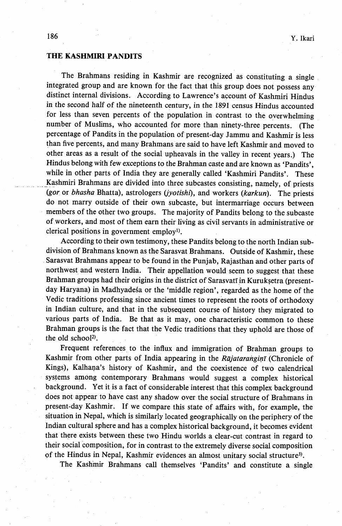## THE KASHMIRI PANDITS

 The Brahmans residing in Kashmir are recognized as constituting a single integrated group and are known for the fact that this group does not possess any distinct internal divisions. According to Lawrence's account of Kashmiri Hindus in the second half of the nineteenth century, in the 1891 census Hindus accounted for less than seven percents of the population in contrast to the overwhelming number of Muslims, who accounted for more than ninety-three percents. (The percentage of Pandits in the population of present-day Jammu and Kashmir is less than five percents, and many Brahmans are said to have left Kashmir and moved to other areas as a result of the social upheavals in the valley in recent years.) The Hindus belong with few exceptions to the Brahman caste and are known as 'Pandits', while in other parts of India they are generally called 'Kashmiri Pandits'. These Kashmiri Brahmans are divided into three subcastes consisting, namely, of priests (gor or bhasha Bhatta), astrologers (jyotishi), and workers (karkun). The priests do not marry outside of their own subcaste, but intermarriage occurs between members of the other two groups. The majority of Pandits belong to the subcaste of workers, and most of them earn their living as civil servants in administrative or clerical positions in government employi).

 According to their own testimony, these Pandits belong to the north Indian sub division of Brahmans known as the Sarasvat Brahmans. Outside of Kashmir, these Sarasvat Brahmans appear to be found in the Punjab, Rajasthan and other parts of northwest and western India. Their appellation would seem to suggest that these Brahman groups had their origins in the district of Sarasvatī in Kuruksetra (presentday Haryana) in Madhyadesa or the 'middle region', regarded as the home of the Vedic traditions professing since ancient times to represent the roots of orthodoxy in Indian culture, and that in the subsequent course of history they migrated to various parts of India. Be that as it may, one characteristic common to these Brahman groups is the fact that the Vedic traditions that they uphold are those of the old school<sup>2)</sup>.

 Frequent referenccs to the influx and immigration of Brahman groups to Kashmir from other parts of India appearing in the Rajatarangint (Chronicle of Kings), Kalhana's history of Kashmir, and the coexistence of two calendrical systems among contemporary Brahmans would suggest a complex historical background. Yet it is a fact of considerable interest that this complex background does not appear to have cast any shadow over the social structure of Brahmans in present-day Kashmir. If we compare this state of affairs with, for example, the situation in Nepal, which is similarly located geographically on the periphery of the Indian cultural sphere and has a complex historical background, it becomes evident that there exists between these two Hindu worlds a clear-cut contrast in regard to their social composition, for in contrast to the extremely diverse social composition of the Hindus in Nepal, Kashmir evidences an almost unitary social structure<sup>3)</sup>.

The Kashmir Brahmans call themselves 'Pandits' and constitute a single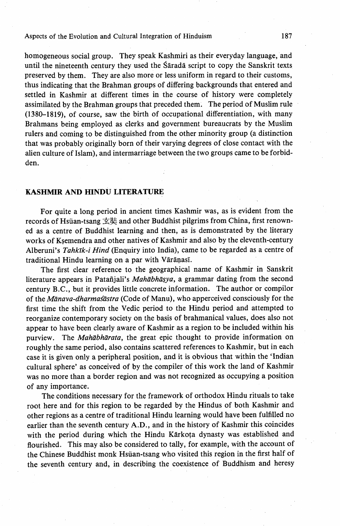## Aspects of the Evolution and Cultural Integration of Hinduism 187

homogeneous social group. They speak Kashmiri as their everyday language, and until the nineteenth century they used the Sarada script to copy the Sanskrit texts preserved by them. They are also more or less uniform in regard to their customs, thus indicating that the Brahman groups of differing backgrounds that entered and settled in Kashmir at different times in the course of history were completely assimilated by the Brahman groups that preceded them. The period of Muslim rule (1380-1819), of course, saw the birth of occupational differentiation, with many Brahmans being employed as clerks and government bureaucrats by the Muslim rulers and coming to be distinguished from the other minority group (a distinction that was probably originally born of their varying degrees of close contact with the alien culture of Islam), and intermarriage between the two groups came to be forbidden.

## KASHMIR AND HINDU LITERATURE

 For quite a long period in ancient times Kashmir was, as is evident from the records of Hsüan-tsang 玄奘 and other Buddhist pilgrims from China, first renowned as a centre of Buddhist learning and then, as is demonstrated by the literary works of Ksemendra and other natives of Kashmir and also by the eleventh-century Alberuni's Tahkīk-i Hind (Enquiry into India), came to be regarded as a centre of traditional Hindu learning on a par with Varanasi.

 The first clear reference to the geographical name of Kashmir in Sanskrit literature appears in Patañjali's Mahābhāsya, a grammar dating from the second century B.C., but it provides little concrete information. The author or compilor of the *Manava-dharmas astra* (Code of Manu), who apperceived consciously for the first time the shift from the Vedic period to the Hindu period and attempted to reorganize contemporary society on the basis of brahmanical values, does also not appear to have been clearly aware of Kashmir as a region to be included within his purview. The Mahābhārata, the great epic thought to provide information on roughly the same period, also contains scattered references to Kashmir, but in each case it is given only a peripheral position, and it is obvious that within the 'Indian cultural sphere' as conceived of by the compiler of this work the land of Kashmir was no more than a border region and was not recognized as occupying a position of any importance;

 The conditions necessary for the framework of orthodox Hindu rituals to take root here and for this region to be regarded by the Hindus of both Kashmir and other regions as a centre of traditional Hindu learning would have been fulfi11ed no earlier than the seventh century A.D., and in the history of Kashmir this coincides with the period during which the Hindu Kärkota dynasty was established and flourished. This may also be considered to tally, for example, with the account of the Chinese Buddhist monk Hsüan-tsang who visited this region in the first half of the seventh century and, in describing the coexistence of Buddhism and heresy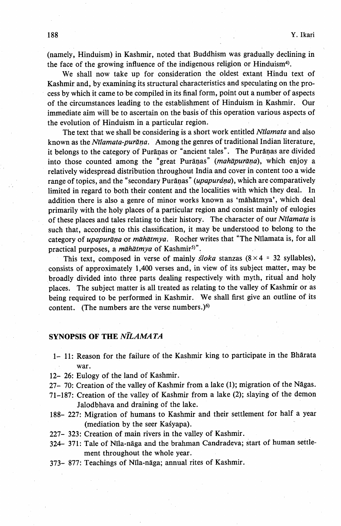(namely, Hinduism) in Kashmir, noted that Buddhism was gradually declining in the face of the growing influence of the indigenous religion or Hinduism<sup>4)</sup>.

 We shall now take up for consideration the oldest extant Hindu text of Kashmir, and, by examining its structural characteristics and speculating on the process by which it came to be compiled in its final form, point out a number of aspects of the circumstances leading to the establishment of Hinduism in Kashmir. Our immediate aim will be to ascertain on the basis of this operation various aspects of the evolution bf Hinduism in a particular region.

The text that we shall be considering is a short work entitled Nīlamata and also known as the Nīlamata-purāņa. Among the genres of traditional Indian literature, it belongs to the category of Puranas or "ancient tales". The Puranas are divided into those counted among the "great Purāṇas" (mahāpurāṇa), which enjoy a relatively widespread distribution throughout India and cover in content too a wide range of topics, and the "secondary Puranas" (upapurána), which are comparatively limited in regard to both their content and the localities with which they deal. In addition there is also a genre of minor works known as 'māhātmya', which deal primarily with the holy places of a particular region and consist mainly of eulogies of these places and tales relating to their history. The character of our Nilamata is such that, according to this classification, it may be understood to belong to the category of upapurāņa or māhātmya. Rocher writes that "The Nīlamata is, for all practical purposes, a māhātmya of Kashmir<sup>5)"</sup>.

This text, composed in verse of mainly *sloka* stanzas  $(8 \times 4 = 32 \text{ syllables})$ , consists of approximately 1,400 verses and, in view of its subject matter, may be broadly divided into three parts dealing respectively with myth, ritual and holy places. The subject matter is all treated as relating to the valley of Kashmir or as being required to be performed in Kashmir. We shall first give an outline of its content. (The numbers are the verse numbers.) $6$ 

## SYNOPSIS OF THE NILAMATA

- 1- 11: Reason for the failure of the Kashmir king to participate in the Bharata war.
- 12- 26: Eulogy of the land of Kashmir.
- 27- 70: Creation of the valley of Kashmir from a lake (1); migration of the Nagas.
- 71-187: Creation of the valley of Kashmir from a lake (2); slaying of the demon Jalodbhava and draining of the lake.
- 188- 227: Migration of humans to Kashmir and their settlement for half a year (mediation by the seer Kasyapa).
- 227- 323: Creation of main rivers in the valley of Kashmir.
- 324- 371: Tale of Nila-naga and the brahman Candradeva; start of human settle ment throughout the whole year.
- 373- 877: Teachings of Nila-naga; annual rites of Kashmir.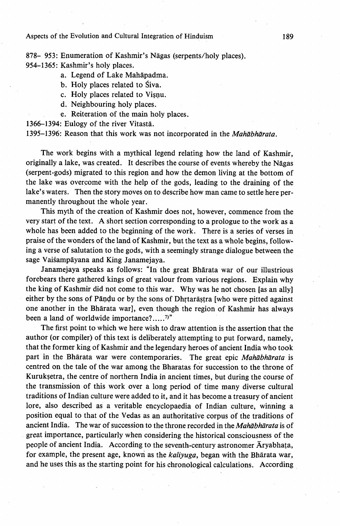878- 953: Enumeration of Kashmir's Nagas (serpents/holy places). 954-1365: Kashmir's holy places.

- a. Legend of Lake Mahapadma.
- b. Holy places related to Siva.
- c. Holy places related to Visnu.
- d. Neighbouring holy places.
- e. Reiteration of the main holy places.

1366--1394: Eulogy of the river Vitasta.

1395-1396: Reason that this work was not incorporated in the Mahābhārata.

 The work begins with a mythical legend relating how the land of Kashmir, originally a lake, was created. It describes the course of events whereby the Nagas (serpent-gods) migrated to this region and how the demon living at the bottom of the lake was overcome with the help of the gods, leading to the draining of the lake's waters. Then the story moves on to describe how man came to settle here permanently throughout the whole year.

 This myth of the creation of Kashmir does not, however, commence from the very start of the text. A short section corresponding to a prologue to the work as a whole has been added to the beginning of the work. There is a series of verses in praise of the wonders of the land of Kashmir, but the text as a whole begins, following a verse of salutation to the gods, with a seemingly strange dialogue between the sage Vaiśampāyana and King Janamejaya.

 Janamejaya speaks as follows: "In' the great Bharata war of our illustrious forebears there gathered kings of great valour from various regions. Explain why the king of Kashmir did not come to this war. Why was he not chosen [as-an ally] either by the sons of Pāndu or by the sons of Dhrtarastra [who were pitted against one another in the Bharata war], even though the region of Kashmir has always been a land of worldwide importance?.....7)"

 The first point to which we here wish to draw attention is the assertion that the author (or compiler) of this text is deliberately attempting to put forward, namely, that the former king of Kashmir and the legendary heroes of ancient India who took part in the Bharata war were contemporaries. The great epic Mahabharata is centred on the tale of the war among the Bharatas for succession to the throne of Kuruksetra, the centre of northern India in ancient times, but during the course of the transmission of this work over a long period of time many diverse cultural traditions of Indian culture were added to it, and it has become a treasury of ancient lore, also described as a veritable encyclopaedia of Indian culture, winning a position equal to that of the Vedas as an authoritative corpus of the traditions of ancient India. The war of succession to the throne recorded in the *Mahābhārata* is of great importance, particularly when considering the historical consciousness of the people of ancient India. According to the seventh-century astronomer Aryabhata, for example, the present age, known as the *kaliyuga*, began with the Bharata war, and he uses this as the starting point for his chronological calculations. According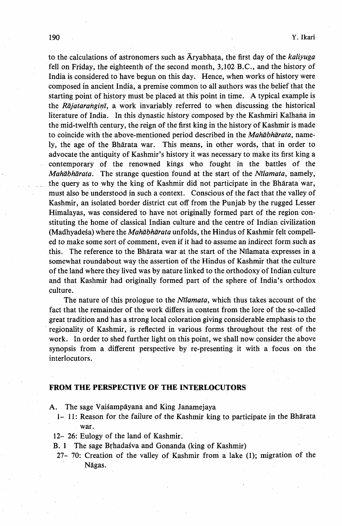to the calculations of astronomers such as  $\overline{A}$ ryabhata, the first day of the *kaliyuga*  fell on Friday, the eighteenth of the second month, 3,102 B.C., and the history of India is considered to have begun on this day. Hence, when works of history were composed in ancient India, a premise common to all authors was the belief that the starting point of history must be placed at this point in time. A typical example is the Rājatarangin, a work invariably referred to when discussing the historical literature of India. In this dynastic history composed by the Kashmiri Kalhana in the mid-twelfth century, the reign of the first king in the history of Kashmir is made to coincide with the above-mentioned period described in the *Mahabharata*, name ly, the age of the Bharata war. This means, in other words, that in order to advocate the antiquity of Kashmir's history it was necessary to make its first king a - contemporary of the renowned kings who fought in the battles of the Mahābhārata. The strange question found at the start of the Nīlamata, namely, the query as to why the king of Kashmir did not participate in the Bharata war, must also be understood in such a context. Conscious of the fact that the valley of Kashmir, an isolated border district cut off from the Punjab by the rugged Lesser Himalayas, was considered to have not originally formed part of the region con stituting the home of classical Indian culture and the centre of Indian civilization (Madhyadeśa) where the Mahābhārata unfolds, the Hindus of Kashmir felt compell ed to make some sort of comment, even if it had to assume an indirect form such as this. The reference to the Bharata war at the start of the Nilamata expresses in a somewhat roundabout way the assertion of the Hindus of Kashmir that the culture of the land where they lived was by nature linked to the orthodoxy of Indian culture and that Kashmir had originally formed part of the sphere of India's orthodox culture.

The nature of this prologue to the *Ntlamata*, which thus takes account of the fact that the remainder of the work differs in content from the lore of the so-called great tradition and has a strong local coloration giving consjderable emphasis to the regionality of Kashmir, is reflected in various forms throughout the rest of the work. In order to shed further light on this point, we shall now consider the above synopsis from a different perspective by re-presenting it with a focus on the interlocutors.

#### FROM THE PERSPECTIVE OF THE INTERLOCUTORS

- A. The sage Vaisampayana and King Janamejaya
- 1- 11: Reason for the failure of the Kashmir king to participate in the Bharata war.
- 12- 26: Eulogy of the land of Kashmir.
- B. 1 The sage Brhadasva and Gonanda (king of Kashmir)
- 27- 70: Creation of the valley of Kashmir from a lake (1); migration of the Nagas.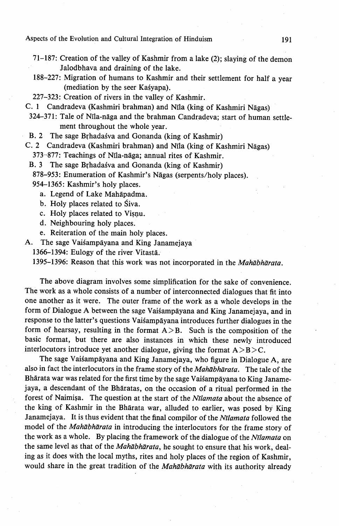Aspects of the Evolution and Cultural Integration of Hinduism 191

- 71-187: Creation of the valley of Kashmir from a lake (2); slaying of the demon Jalodbhava and draining of the lake.
- 188-227: Migration of humans to Kashmir and their settlement for half a year (mediation by the seer Kasyapa).
- 227--323: Creation of rivers in the valley of Kashmir.

C. 1 Candradeva (Kashmiri brahman) and Nrla (king of Kashmiri Nagas)

- 324-371: Tale of Nila-naga and the brahman Candradeva; start of human settle ment throughout the whole year.
- B. 2 The sage Brhadasva and Gonanda (king of Kashmir)
- C. 2 Candradeva (Kashmiri brahman) and Nila (king of Kashmiri Nagas)
	- 373-877: Teachings of Nila-naga; annual rites of Kashmir.
	- B. 3 The sage Brhadasva and Gonanda (king of Kashmir)
		- 878-953: Enumeration of Kashmir's Nagas (serpents/holy places).
		- 954-1365: Kashmir's holy places.
			- a. Legend of Lake Mahapadma.
			- b. Holy places related to Siva.
			- c. Holy places related to Vispu.
			- d. Neighbouring holy places.
			- e. Reiteration of the main holy places.
- A. The sage Vaisampayana and King Janamejaya
	- 1366-1394: Eulogy of the river-Vitastä.

1395-1396: Reason that this work was not incorporated in the Mahābhārata.

 The above diagram involves some simplification for the sake of convenience. The work as a whole consists of a number of interconnected dialogues that fit into one another as it were. The outer frame of the work as a whole develops in the form of Dialogue A between the sage Vaisampāyana and King Janamejaya, and in response to the latter's questions Vaisampāyana introduces further dialogues in the form of hearsay, resulting in the format  $A > B$ . Such is the composition of the basic format, but there are also instances in which these newly introduced interlocutors introduce yet another dialogue, giving the format  $A > B > C$ .

The sage Vaisampāyana and King Janamejaya, who figure in Dialogue A, are also in fact the interlocutors in the frame story of the Mahabharata. The tale of the Bhārata war was related for the first time by the sage Vaisampāyana to King Janamejaya, a descendant of the Bharatas, on the occasion of a ritual performed in the forest of Naimisa. The question at the start of the Nīlamata about the absence of the king of Kashmir in the Bharata war, alluded to earlier, was posed by King Janamejaya. It is thus evident that the final compilor of the Nīlamata followed the model of the Mahābhārata in introducing the interlocutors for the frame story of the work as a whole. By placing the framework of the dialogue of the Nīlamata on the same level as that of the Mahabharata, he sought to ensure that his work, dealing as it does with the local myths, rites and holy places of the region of Kashmir, would share in the great tradition of the Mahabharata with its authority already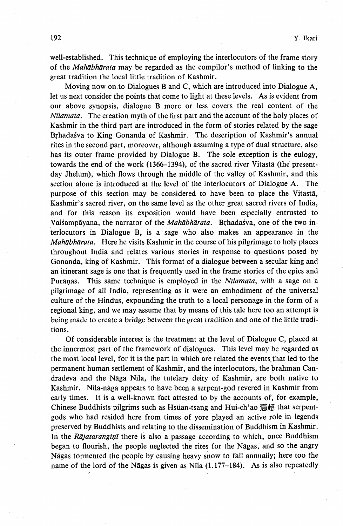well-established. This technique of employing the interlocutors of the frame story of the *Mahābhārata* may be regarded as the compilor's method of linking to the great tradition the local little tradition of Kashmir.

 Moving now on to Dialogues B and C, which are introduced into Dialogue A, let us next consider the points that come to light at these levels. As is evident from our above synopsis, dialogue B more or less covers the real content of the  $N$ *ilamata*. The creation myth of the first part and the account of the holy places of Kashmir in the third part are introduced in the form of stories related by the sage Brhadasva to King Gonanda of Kashmir. The description of Kashmir's annual rites in the second part, moreover, although assuming a type of dual structure, also has its outer frame provided by Dialogue B. The sole exception is the eulogy, towards the end of the work  $(1366-1394)$ , of the sacred river Vitasta (the presentday Jhelum), which flows through the middle of the valley of Kashmir, and this section alone is introduced at the level of the interlocutors of Dialogue A. The purpose of this section may be considered to have been to place the Vitasta, Kashmir's sacred river, on the same level as the other great sacred rivers of India, and for thjs reason its exposition would have been especially entrusted to Vaisampayana, the narrator of the *Mahabharata*. Brhadasva, one of the two interlocutors in Dialogue B, is a sage who also makes an appearance in the Mahābhārata. Here he visits Kashmir in the course of his pilgrimage to holy places throughout India and relates various stories in response to questions posed by Gonanda, king of Kashmir. This format of a dialogue between a secular king and an itinerant sage is one that is frequently used in the frame stories of the epics and Puranas. This same technique is employed in the *Nilamata*, with a sage on a pilgrimage of all India, representing as it were an embpdiment of the universal culture of the Hindus, expounding the truth to a local personage in the form of a regional king, and we may assume that by means of this tale here too an attempt is being made to create a bridge between the great tradition and one of the little traditions.

 Of considerable interest is the treatment at the level of Dialogue C, placed at the innermost part of the framework of dialogues. This level may be regarded as the most local level, for it is the part in which are related the events that led to the permanent human settlement of Kashmir, and the interlocutors, the brahman Candradeva and the Naga Nila, the tutelary deity of Kashmir, are both native to Kashmir. Nila-naga appears to have been a serpent-god revered in Kashmir from early times. It is a well-known fact attested to by the accounts of, for example, Chinese Buddhists pilgrims such as Hsüan-tsang and Hui-ch'ao 慧超 that serpentgods who had resided here from times of yore played an active role in legends preserved by Buddhists and relating to the dissemination of Buddhism in Kashmir. In the Rajataranginit there is also a passage according to which, once Buddhism i began to flourish, the people neglected the rites for the Nagas, and so the angry Nagas tormented the people by causing heavy snow to fall annually; here too the name of the lord of the Nāgas is given as Nīla  $(1.177-184)$ . As is also repeatedly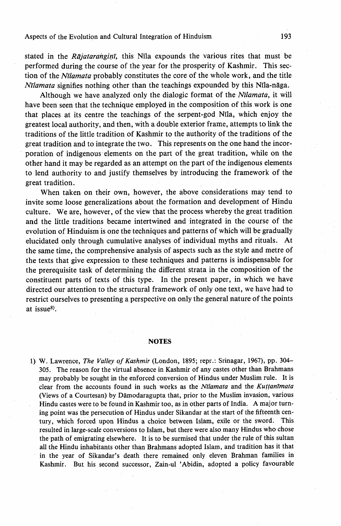### Aspects of the Evolution and Cultural Integration of Hinduism 193

stated in the Rajataranginal, this Nila expounds the various rites that must be performed during the course of the year for the prosperity of Kashmir. This section of the Nilamata probably constitutes the core of the whole work, and the title  $N<sub>l</sub>$  N $\eta$  signifies nothing other than the teachings expounded by this N $\eta$ la-naga.

Although we have analyzed only the dialogic format of the Nilamata, it will have been seen that the technique employed in the composition of this work is one that places at its centre the teachings of the serpent-god Nila, which enjoy the greatest local authority, and then, with a double exterior frame, attempts to link the traditions of the little tradition of Kashmir to the authority of the traditions of the great tradition and to integrate the two. This represents on the one hand the incorporation of indigenous elements on the part of the great tradition, while on the other hand it may be regarded as an attempt on the part of the indigenous elements to lend authority to and justify themselves by introducing the framework of the great tradition.

 When taken on their own, however, the above considerations may tend to invite some loose generalizations about the formation and development of Hindu culture. We are, however, of the view that the process whereby the great tradition and the little traditions became intertwined and integrated in the course of the evolution of Hinduism is one the techniques and patterns of which will be gradually elucidated only through cumulative analyses of individual myths and rituals. At the same time, the comprehensive analysis of aspects such as the style and metre of the texts that give expression to these techniques and patterns is indispensable for the prerequisite task of determining the different strata in the composition of the constituent parts of texts of this type. In the present paper, in which we have directed our attention to the structural framework of only one text, we have had to restrict ourselves to presenting a perspective on only the general nature of the points at issue8).

#### **NOTES**

1) W. Lawrence, The Valley of Kashmir (London, 1895; repr.: Srinagar, 1967), pp. 304-- 305. The reason for the virtual absence in Kashmir of any castes other than Brahmans .may probably be sought in the enforced conversion of Hindus under Muslim rule. It is clear from the accounts found in such works as the Nīlamata and the Kuttanīmata (Views of a Courtesan) by Damodaragupta that, prior to the Muslim invasion, various Hindu castes were to be found in Kashmir too, as in other parts of India, A major turn ing point was the persecution of Hindus under Sikandar at the start of the fifteenth cen tury, which forced upon Hindus a choice between Islam, exile or the sword. This resulted in large-scale conversions to Islam, but there were also many Hindus who chose the path of emigrating elsewhere. It is to be surmised that under the rule of this sultan all the Hindu inhabitants other than Brahmans adopted Islam, and tradition has it that in the yeat of Sikandar's death there remained only eleven Brahman families in Kashmir. But his second successor, Zain-ul 'Abidin, adopted a policy favourable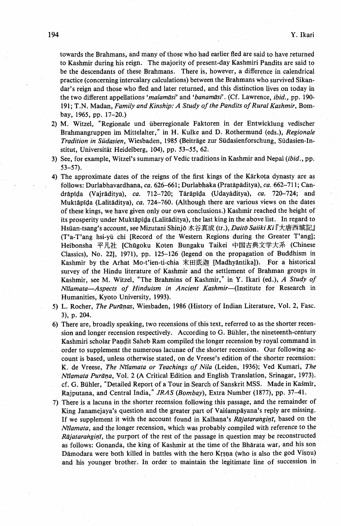towards the Brahmans, and many of those who had earlier fied are said to have returned to Kashmir during his reign. The majority of present-day Kashmiri Pandits are said to be the descendants of these Brahmans. There is, however, a difference in calendrical practice (concerning intercalary calculations) between the Brahmans who survived Sikan dar's reign and those who fled and later returned, and this distinction lives on today in the two different appellations 'malamāsi' and 'banamāsi'. (Cf. Lawrence, ibid., pp. 190-191; T.N. Madan, Family and Kinship: A Study of the Pandits of Rural Kashmir, Bombay, 1965, pp. 17-20.)

- 2) M. Witzel, "Regionale und überregionale Faktoren in der Entwicklung vedischer Brahmangruppen im Mittelalter," in H. Kulke and D. Rothermund (eds.), Regionale Tradition in Südasien, Wiesbaden, 1985 (Beiträge zur Südasienforschung, Südasien-Institut, Universität Heidelberg, 104), pp. 53–55, 62.
- 3) See, for example, Witzel's summary of Vedic traditions in Kashmir and Nepal (ibid., pp. 53-57).
- 4) The approximate dates of the reigns of the first kings of the Karkota dynasty are as follows: Durlabhavardhana, ca. 626-661; Durlabhaka (Pratapaditya), ca.'662-711; Can drapida (Vajraditya), ca. 712-720; Tarapida (Udayaditya), ca. 720-724; and Muktapida (Lalitaditya), ca. 724-760. (Although there are various views on the dates of these kings, we have given only our own conclusions.) Kashmir reached the height of its prosperity under Muktapida (Lalitaditya), the last king in the above list. In regard to Hsüan-tsang's account, see Mizutani Shinjō 水谷真成 (tr.), Daitō Saiiki Ki『大唐西域記』 (T'a-T'ang hsi-yU chi [Record of the Western Regions during the Greater T'ang]; Heibonsha 平凡社 [Chūgoku Koten Bungaku Taikei 中国古典文学大系 (Chinese Classics), No. 22], 1971), pp. 125-126 (legend on the propagation of Buddhism in Kashmir by the Arhat Mo-t'ien-ti-chia 末田底迦 [Madhyāntika]). For a historical survey of the Hindu literature of Kashmir and the settlement of Brahman groups in Kashmir, see M. Witzel, "The Brahmins of Kashmir," in Y. Ikari (ed.), A Study of Nīlamata-Aspects of Hinduism in Ancient Kashmir-(Institute for Research in Humanities, Kyoto University, 1993).
- 5) L. Rocher, The Purāņas, Wiesbaden, 1986 (History of Indian Literature, Vol. 2, Fasc. 3), p. 204.
- 6) There are, broadly speaking, two recensions of this text, referred to as the shorter recen sion and longer recension respectively. According to G. BUhler, the nineteenth-century Kashmiri scholar Pandit Saheb Ram compiled the longer recension by royal command in order to supplement the numerous lacunae of the shorter recension. Our following ac count is based, unless otherwise stated, on-de Vreese's edition of the shorter recension: K. de Vreese, The Nīlamata or Teachings of Nila (Leiden, 1936); Ved Kumari, The Nīlamata Purāņa, Vol. 2 (A Critical Edition and English Translation, Srinagar, 1973). cf. G. BUhler, "Detailed Report of a Tour in Search of Sanskrit MSS. Made in KaSmir, Rajputana, and Central India," JRAS (Bombay), Extra Number (1877), pp. 37-41.
- 7) There is a lacuna in the shorter recension. following this passage, and the remainder of King Janamejaya's question and the greater part of Vaisampayana's reply are missing. If we supplement it with the account found in Kalhana's Rajatarangini, based on the Nīlamata, and the longer recension, which was probably compiled with reference to the Rājataranginī, the purport of the rest of the passage in question may be reconstructed as follows: Gonanda, the king of Kashmir at the time of the Bharata war, and his son Damodara were both killed in battles with the hero Krsna (who is also the god Visnu) and his younger brother. In order to maintain the legitimate line of succession in